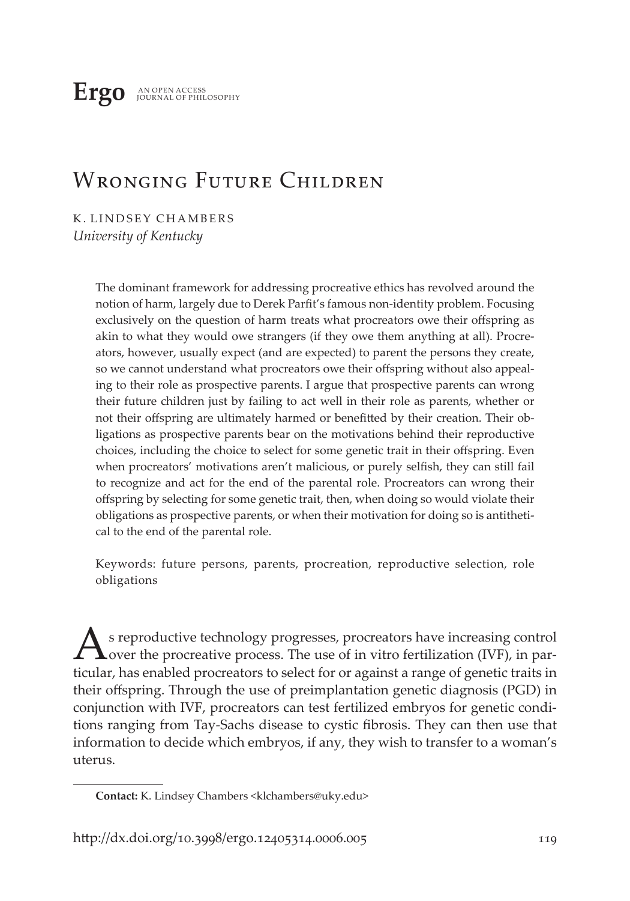**Ergo** AN OPEN ACCESS JOURNAL OF PHILOSOPHY

# WRONGING FUTURE CHILDREN

K. LINDSEY CHAMBERS *University of Kentucky*

> The dominant framework for addressing procreative ethics has revolved around the notion of harm, largely due to Derek Parfit's famous non-identity problem. Focusing exclusively on the question of harm treats what procreators owe their offspring as akin to what they would owe strangers (if they owe them anything at all). Procreators, however, usually expect (and are expected) to parent the persons they create, so we cannot understand what procreators owe their offspring without also appealing to their role as prospective parents. I argue that prospective parents can wrong their future children just by failing to act well in their role as parents, whether or not their offspring are ultimately harmed or benefitted by their creation. Their obligations as prospective parents bear on the motivations behind their reproductive choices, including the choice to select for some genetic trait in their offspring. Even when procreators' motivations aren't malicious, or purely selfish, they can still fail to recognize and act for the end of the parental role. Procreators can wrong their offspring by selecting for some genetic trait, then, when doing so would violate their obligations as prospective parents, or when their motivation for doing so is antithetical to the end of the parental role.

> Keywords: future persons, parents, procreation, reproductive selection, role obligations

As reproductive technology progresses, procreators have increasing control over the procreative process. The use of in vitro fertilization (IVF), in particular, has enabled procreators to select for or against a range of genetic traits in their offspring. Through the use of preimplantation genetic diagnosis (PGD) in conjunction with IVF, procreators can test fertilized embryos for genetic conditions ranging from Tay-Sachs disease to cystic fibrosis. They can then use that information to decide which embryos, if any, they wish to transfer to a woman's uterus.

**Contact:** K. Lindsey Chambers <klchambers@uky.edu>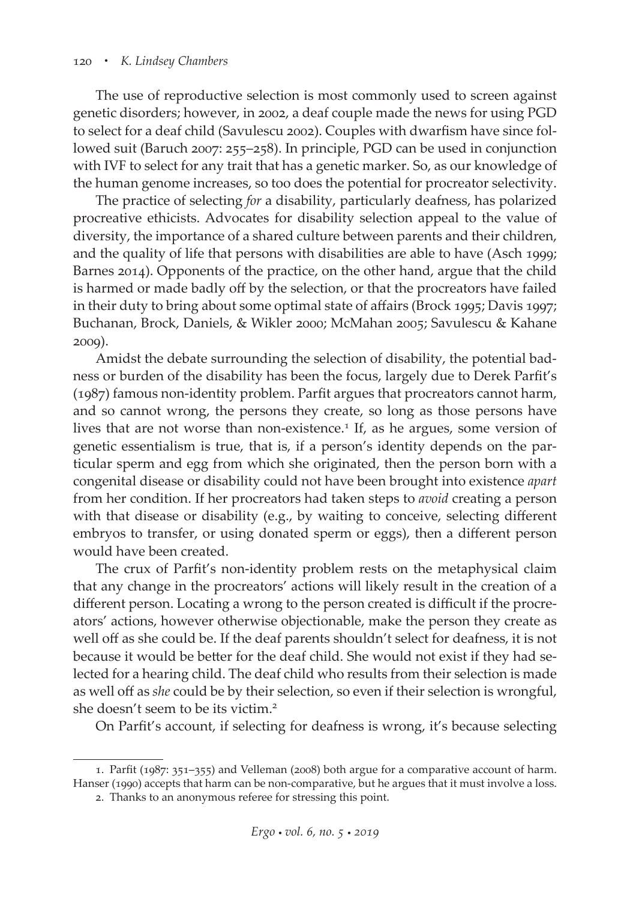The use of reproductive selection is most commonly used to screen against genetic disorders; however, in 2002, a deaf couple made the news for using PGD to select for a deaf child (Savulescu 2002). Couples with dwarfism have since followed suit (Baruch 2007: 255–258). In principle, PGD can be used in conjunction with IVF to select for any trait that has a genetic marker. So, as our knowledge of the human genome increases, so too does the potential for procreator selectivity.

The practice of selecting *for* a disability, particularly deafness, has polarized procreative ethicists. Advocates for disability selection appeal to the value of diversity, the importance of a shared culture between parents and their children, and the quality of life that persons with disabilities are able to have (Asch 1999; Barnes 2014). Opponents of the practice, on the other hand, argue that the child is harmed or made badly off by the selection, or that the procreators have failed in their duty to bring about some optimal state of affairs (Brock 1995; Davis 1997; Buchanan, Brock, Daniels, & Wikler 2000; McMahan 2005; Savulescu & Kahane 2009).

Amidst the debate surrounding the selection of disability, the potential badness or burden of the disability has been the focus, largely due to Derek Parfit's (1987) famous non-identity problem. Parfit argues that procreators cannot harm, and so cannot wrong, the persons they create, so long as those persons have lives that are not worse than non-existence.<sup>1</sup> If, as he argues, some version of genetic essentialism is true, that is, if a person's identity depends on the particular sperm and egg from which she originated, then the person born with a congenital disease or disability could not have been brought into existence *apart* from her condition. If her procreators had taken steps to *avoid* creating a person with that disease or disability (e.g., by waiting to conceive, selecting different embryos to transfer, or using donated sperm or eggs), then a different person would have been created.

The crux of Parfit's non-identity problem rests on the metaphysical claim that any change in the procreators' actions will likely result in the creation of a different person. Locating a wrong to the person created is difficult if the procreators' actions, however otherwise objectionable, make the person they create as well off as she could be. If the deaf parents shouldn't select for deafness, it is not because it would be better for the deaf child. She would not exist if they had selected for a hearing child. The deaf child who results from their selection is made as well off as *she* could be by their selection, so even if their selection is wrongful, she doesn't seem to be its victim.<sup>2</sup>

On Parfit's account, if selecting for deafness is wrong, it's because selecting

<sup>1.</sup> Parfit (1987: 351–355) and Velleman (2008) both argue for a comparative account of harm. Hanser (1990) accepts that harm can be non-comparative, but he argues that it must involve a loss.

<sup>2.</sup> Thanks to an anonymous referee for stressing this point.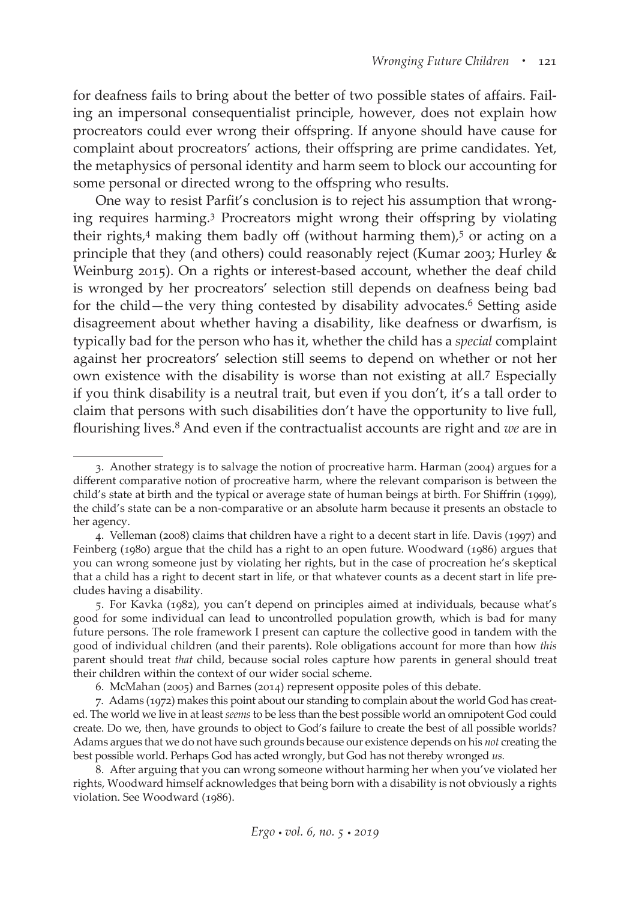for deafness fails to bring about the better of two possible states of affairs. Failing an impersonal consequentialist principle, however, does not explain how procreators could ever wrong their offspring. If anyone should have cause for complaint about procreators' actions, their offspring are prime candidates. Yet, the metaphysics of personal identity and harm seem to block our accounting for some personal or directed wrong to the offspring who results.

One way to resist Parfit's conclusion is to reject his assumption that wronging requires harming.3 Procreators might wrong their offspring by violating their rights, $4$  making them badly off (without harming them), $5$  or acting on a principle that they (and others) could reasonably reject (Kumar 2003; Hurley & Weinburg 2015). On a rights or interest-based account, whether the deaf child is wronged by her procreators' selection still depends on deafness being bad for the child—the very thing contested by disability advocates.<sup>6</sup> Setting aside disagreement about whether having a disability, like deafness or dwarfism, is typically bad for the person who has it, whether the child has a *special* complaint against her procreators' selection still seems to depend on whether or not her own existence with the disability is worse than not existing at all.7 Especially if you think disability is a neutral trait, but even if you don't, it's a tall order to claim that persons with such disabilities don't have the opportunity to live full, flourishing lives.8 And even if the contractualist accounts are right and *we* are in

<sup>3.</sup> Another strategy is to salvage the notion of procreative harm. Harman (2004) argues for a different comparative notion of procreative harm, where the relevant comparison is between the child's state at birth and the typical or average state of human beings at birth. For Shiffrin (1999), the child's state can be a non-comparative or an absolute harm because it presents an obstacle to her agency.

<sup>4.</sup> Velleman (2008) claims that children have a right to a decent start in life. Davis (1997) and Feinberg (1980) argue that the child has a right to an open future. Woodward (1986) argues that you can wrong someone just by violating her rights, but in the case of procreation he's skeptical that a child has a right to decent start in life, or that whatever counts as a decent start in life precludes having a disability.

<sup>5.</sup> For Kavka (1982), you can't depend on principles aimed at individuals, because what's good for some individual can lead to uncontrolled population growth, which is bad for many future persons. The role framework I present can capture the collective good in tandem with the good of individual children (and their parents). Role obligations account for more than how *this* parent should treat *that* child, because social roles capture how parents in general should treat their children within the context of our wider social scheme.

<sup>6.</sup> McMahan (2005) and Barnes (2014) represent opposite poles of this debate.

<sup>7.</sup> Adams (1972) makes this point about our standing to complain about the world God has created. The world we live in at least *seems* to be less than the best possible world an omnipotent God could create. Do we, then, have grounds to object to God's failure to create the best of all possible worlds? Adams argues that we do not have such grounds because our existence depends on his *not* creating the best possible world. Perhaps God has acted wrongly, but God has not thereby wronged *us.*

<sup>8.</sup> After arguing that you can wrong someone without harming her when you've violated her rights, Woodward himself acknowledges that being born with a disability is not obviously a rights violation. See Woodward (1986).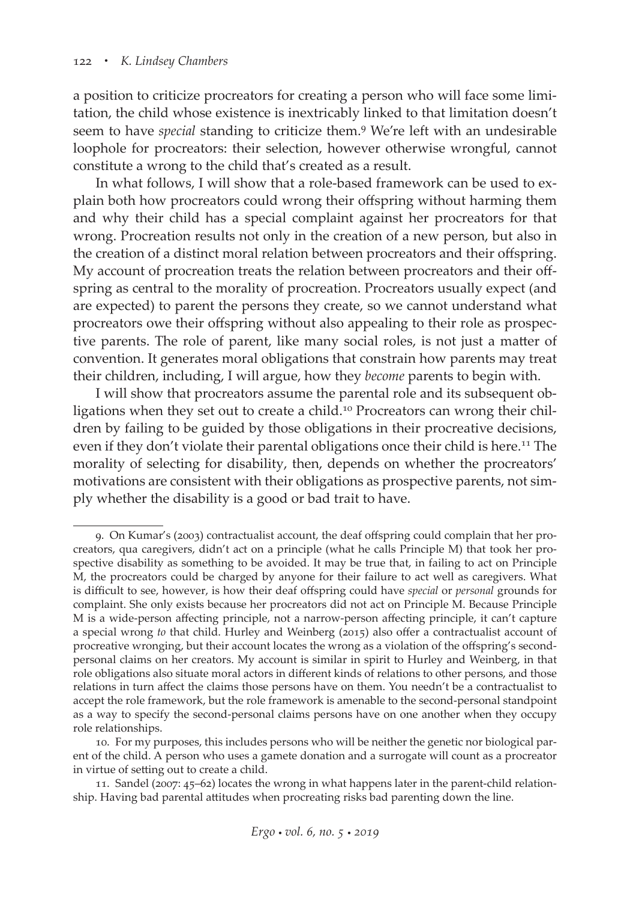a position to criticize procreators for creating a person who will face some limitation, the child whose existence is inextricably linked to that limitation doesn't seem to have *special* standing to criticize them.9 We're left with an undesirable loophole for procreators: their selection, however otherwise wrongful, cannot constitute a wrong to the child that's created as a result.

In what follows, I will show that a role-based framework can be used to explain both how procreators could wrong their offspring without harming them and why their child has a special complaint against her procreators for that wrong. Procreation results not only in the creation of a new person, but also in the creation of a distinct moral relation between procreators and their offspring. My account of procreation treats the relation between procreators and their offspring as central to the morality of procreation. Procreators usually expect (and are expected) to parent the persons they create, so we cannot understand what procreators owe their offspring without also appealing to their role as prospective parents. The role of parent, like many social roles, is not just a matter of convention. It generates moral obligations that constrain how parents may treat their children, including, I will argue, how they *become* parents to begin with.

I will show that procreators assume the parental role and its subsequent obligations when they set out to create a child.<sup>10</sup> Procreators can wrong their children by failing to be guided by those obligations in their procreative decisions, even if they don't violate their parental obligations once their child is here.<sup>11</sup> The morality of selecting for disability, then, depends on whether the procreators' motivations are consistent with their obligations as prospective parents, not simply whether the disability is a good or bad trait to have.

<sup>9.</sup> On Kumar's (2003) contractualist account, the deaf offspring could complain that her procreators, qua caregivers, didn't act on a principle (what he calls Principle M) that took her prospective disability as something to be avoided. It may be true that, in failing to act on Principle M, the procreators could be charged by anyone for their failure to act well as caregivers. What is difficult to see, however, is how their deaf offspring could have *special* or *personal* grounds for complaint. She only exists because her procreators did not act on Principle M. Because Principle M is a wide-person affecting principle, not a narrow-person affecting principle, it can't capture a special wrong *to* that child. Hurley and Weinberg (2015) also offer a contractualist account of procreative wronging, but their account locates the wrong as a violation of the offspring's secondpersonal claims on her creators. My account is similar in spirit to Hurley and Weinberg, in that role obligations also situate moral actors in different kinds of relations to other persons, and those relations in turn affect the claims those persons have on them. You needn't be a contractualist to accept the role framework, but the role framework is amenable to the second-personal standpoint as a way to specify the second-personal claims persons have on one another when they occupy role relationships.

<sup>10.</sup> For my purposes, this includes persons who will be neither the genetic nor biological parent of the child. A person who uses a gamete donation and a surrogate will count as a procreator in virtue of setting out to create a child.

<sup>11.</sup> Sandel (2007: 45–62) locates the wrong in what happens later in the parent-child relationship. Having bad parental attitudes when procreating risks bad parenting down the line.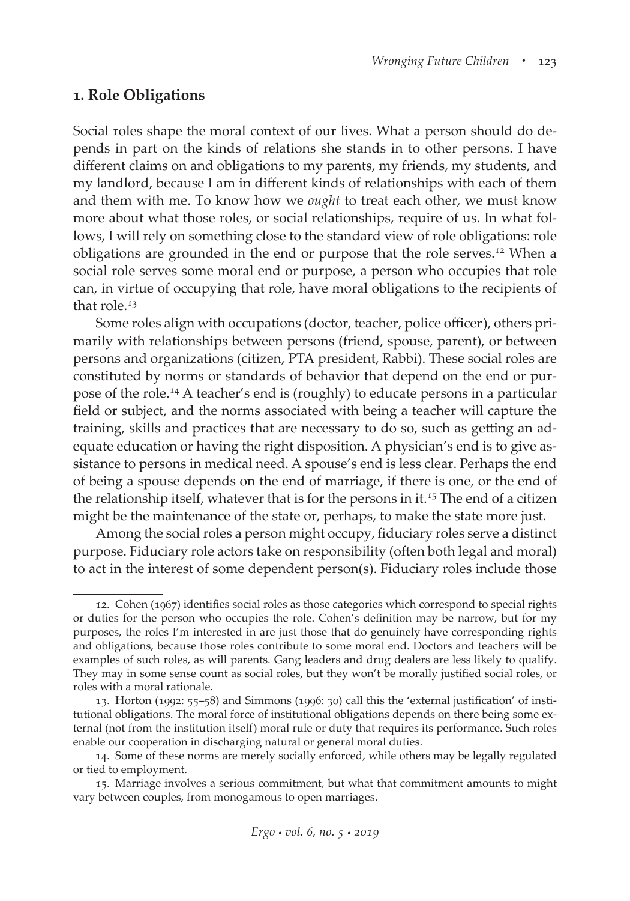#### **1. Role Obligations**

Social roles shape the moral context of our lives. What a person should do depends in part on the kinds of relations she stands in to other persons. I have different claims on and obligations to my parents, my friends, my students, and my landlord, because I am in different kinds of relationships with each of them and them with me. To know how we *ought* to treat each other, we must know more about what those roles, or social relationships, require of us. In what follows, I will rely on something close to the standard view of role obligations: role obligations are grounded in the end or purpose that the role serves.12 When a social role serves some moral end or purpose, a person who occupies that role can, in virtue of occupying that role, have moral obligations to the recipients of that role.<sup>13</sup>

Some roles align with occupations (doctor, teacher, police officer), others primarily with relationships between persons (friend, spouse, parent), or between persons and organizations (citizen, PTA president, Rabbi). These social roles are constituted by norms or standards of behavior that depend on the end or purpose of the role.14 A teacher's end is (roughly) to educate persons in a particular field or subject, and the norms associated with being a teacher will capture the training, skills and practices that are necessary to do so, such as getting an adequate education or having the right disposition. A physician's end is to give assistance to persons in medical need. A spouse's end is less clear. Perhaps the end of being a spouse depends on the end of marriage, if there is one, or the end of the relationship itself, whatever that is for the persons in it.<sup>15</sup> The end of a citizen might be the maintenance of the state or, perhaps, to make the state more just.

Among the social roles a person might occupy, fiduciary roles serve a distinct purpose. Fiduciary role actors take on responsibility (often both legal and moral) to act in the interest of some dependent person(s). Fiduciary roles include those

<sup>12.</sup> Cohen (1967) identifies social roles as those categories which correspond to special rights or duties for the person who occupies the role. Cohen's definition may be narrow, but for my purposes, the roles I'm interested in are just those that do genuinely have corresponding rights and obligations, because those roles contribute to some moral end. Doctors and teachers will be examples of such roles, as will parents. Gang leaders and drug dealers are less likely to qualify. They may in some sense count as social roles, but they won't be morally justified social roles, or roles with a moral rationale.

<sup>13.</sup> Horton (1992: 55–58) and Simmons (1996: 30) call this the 'external justification' of institutional obligations. The moral force of institutional obligations depends on there being some external (not from the institution itself) moral rule or duty that requires its performance. Such roles enable our cooperation in discharging natural or general moral duties.

<sup>14.</sup> Some of these norms are merely socially enforced, while others may be legally regulated or tied to employment.

<sup>15.</sup> Marriage involves a serious commitment, but what that commitment amounts to might vary between couples, from monogamous to open marriages.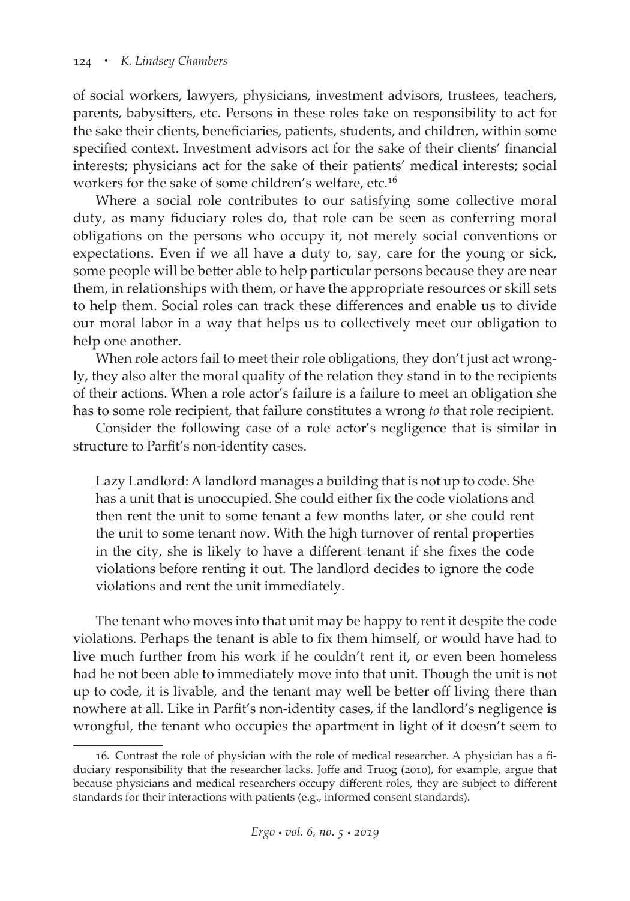of social workers, lawyers, physicians, investment advisors, trustees, teachers, parents, babysitters, etc. Persons in these roles take on responsibility to act for the sake their clients, beneficiaries, patients, students, and children, within some specified context. Investment advisors act for the sake of their clients' financial interests; physicians act for the sake of their patients' medical interests; social workers for the sake of some children's welfare, etc.16

Where a social role contributes to our satisfying some collective moral duty, as many fiduciary roles do, that role can be seen as conferring moral obligations on the persons who occupy it, not merely social conventions or expectations. Even if we all have a duty to, say, care for the young or sick, some people will be better able to help particular persons because they are near them, in relationships with them, or have the appropriate resources or skill sets to help them. Social roles can track these differences and enable us to divide our moral labor in a way that helps us to collectively meet our obligation to help one another.

When role actors fail to meet their role obligations, they don't just act wrongly, they also alter the moral quality of the relation they stand in to the recipients of their actions. When a role actor's failure is a failure to meet an obligation she has to some role recipient, that failure constitutes a wrong *to* that role recipient.

Consider the following case of a role actor's negligence that is similar in structure to Parfit's non-identity cases.

Lazy Landlord: A landlord manages a building that is not up to code. She has a unit that is unoccupied. She could either fix the code violations and then rent the unit to some tenant a few months later, or she could rent the unit to some tenant now. With the high turnover of rental properties in the city, she is likely to have a different tenant if she fixes the code violations before renting it out. The landlord decides to ignore the code violations and rent the unit immediately.

The tenant who moves into that unit may be happy to rent it despite the code violations. Perhaps the tenant is able to fix them himself, or would have had to live much further from his work if he couldn't rent it, or even been homeless had he not been able to immediately move into that unit. Though the unit is not up to code, it is livable, and the tenant may well be better off living there than nowhere at all. Like in Parfit's non-identity cases, if the landlord's negligence is wrongful, the tenant who occupies the apartment in light of it doesn't seem to

<sup>16.</sup> Contrast the role of physician with the role of medical researcher. A physician has a fiduciary responsibility that the researcher lacks. Joffe and Truog (2010), for example, argue that because physicians and medical researchers occupy different roles, they are subject to different standards for their interactions with patients (e.g., informed consent standards).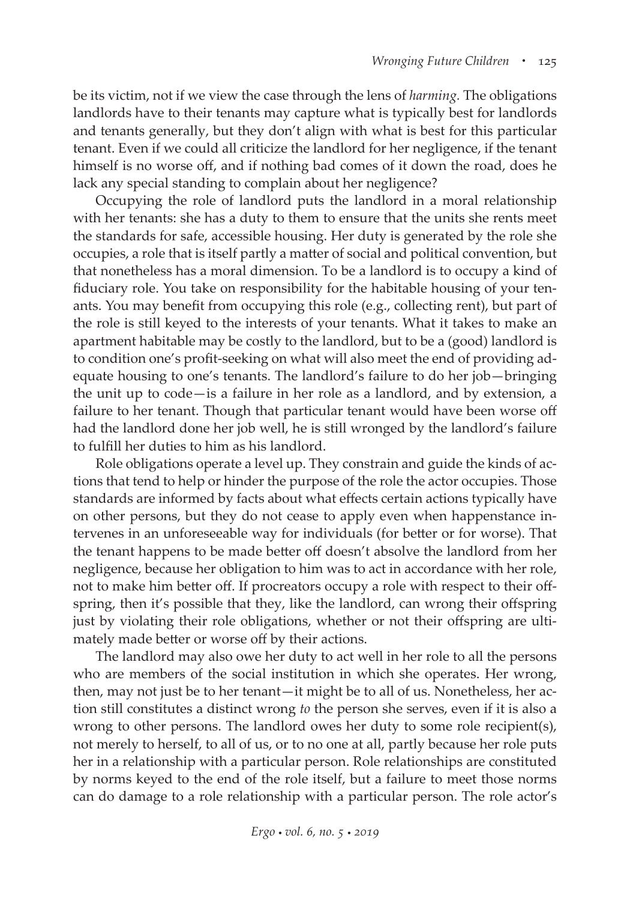be its victim, not if we view the case through the lens of *harming.* The obligations landlords have to their tenants may capture what is typically best for landlords and tenants generally, but they don't align with what is best for this particular tenant. Even if we could all criticize the landlord for her negligence, if the tenant himself is no worse off, and if nothing bad comes of it down the road, does he lack any special standing to complain about her negligence?

Occupying the role of landlord puts the landlord in a moral relationship with her tenants: she has a duty to them to ensure that the units she rents meet the standards for safe, accessible housing. Her duty is generated by the role she occupies, a role that is itself partly a matter of social and political convention, but that nonetheless has a moral dimension. To be a landlord is to occupy a kind of fiduciary role. You take on responsibility for the habitable housing of your tenants. You may benefit from occupying this role (e.g., collecting rent), but part of the role is still keyed to the interests of your tenants. What it takes to make an apartment habitable may be costly to the landlord, but to be a (good) landlord is to condition one's profit-seeking on what will also meet the end of providing adequate housing to one's tenants. The landlord's failure to do her job—bringing the unit up to code—is a failure in her role as a landlord, and by extension, a failure to her tenant. Though that particular tenant would have been worse off had the landlord done her job well, he is still wronged by the landlord's failure to fulfill her duties to him as his landlord.

Role obligations operate a level up. They constrain and guide the kinds of actions that tend to help or hinder the purpose of the role the actor occupies. Those standards are informed by facts about what effects certain actions typically have on other persons, but they do not cease to apply even when happenstance intervenes in an unforeseeable way for individuals (for better or for worse). That the tenant happens to be made better off doesn't absolve the landlord from her negligence, because her obligation to him was to act in accordance with her role, not to make him better off. If procreators occupy a role with respect to their offspring, then it's possible that they, like the landlord, can wrong their offspring just by violating their role obligations, whether or not their offspring are ultimately made better or worse off by their actions.

The landlord may also owe her duty to act well in her role to all the persons who are members of the social institution in which she operates. Her wrong, then, may not just be to her tenant—it might be to all of us. Nonetheless, her action still constitutes a distinct wrong *to* the person she serves, even if it is also a wrong to other persons. The landlord owes her duty to some role recipient(s), not merely to herself, to all of us, or to no one at all, partly because her role puts her in a relationship with a particular person. Role relationships are constituted by norms keyed to the end of the role itself, but a failure to meet those norms can do damage to a role relationship with a particular person. The role actor's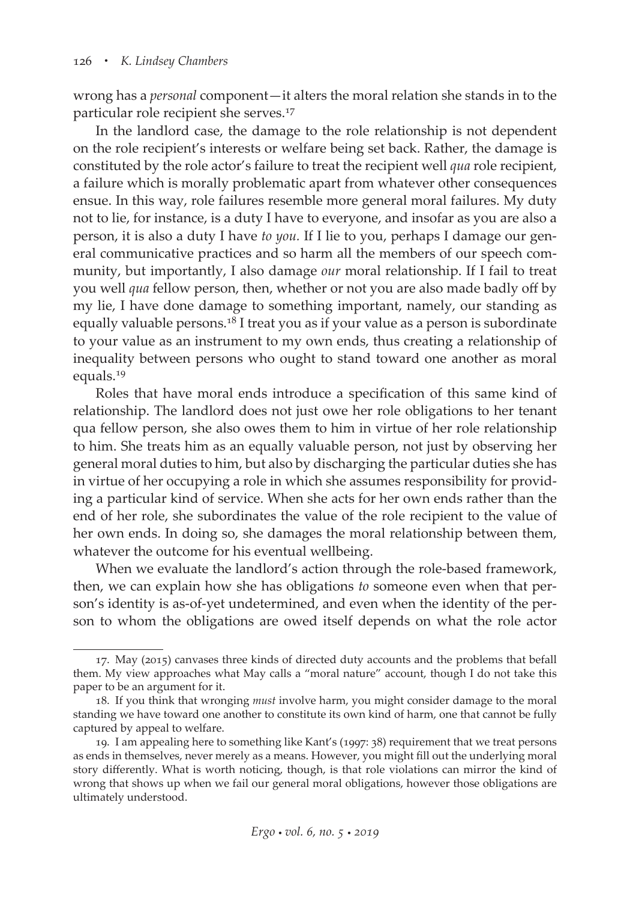wrong has a *personal* component—it alters the moral relation she stands in to the particular role recipient she serves.17

In the landlord case, the damage to the role relationship is not dependent on the role recipient's interests or welfare being set back. Rather, the damage is constituted by the role actor's failure to treat the recipient well *qua* role recipient, a failure which is morally problematic apart from whatever other consequences ensue. In this way, role failures resemble more general moral failures. My duty not to lie, for instance, is a duty I have to everyone, and insofar as you are also a person, it is also a duty I have *to you.* If I lie to you, perhaps I damage our general communicative practices and so harm all the members of our speech community, but importantly, I also damage *our* moral relationship. If I fail to treat you well *qua* fellow person, then, whether or not you are also made badly off by my lie, I have done damage to something important, namely, our standing as equally valuable persons.<sup>18</sup> I treat you as if your value as a person is subordinate to your value as an instrument to my own ends, thus creating a relationship of inequality between persons who ought to stand toward one another as moral equals.19

Roles that have moral ends introduce a specification of this same kind of relationship. The landlord does not just owe her role obligations to her tenant qua fellow person, she also owes them to him in virtue of her role relationship to him. She treats him as an equally valuable person, not just by observing her general moral duties to him, but also by discharging the particular duties she has in virtue of her occupying a role in which she assumes responsibility for providing a particular kind of service. When she acts for her own ends rather than the end of her role, she subordinates the value of the role recipient to the value of her own ends. In doing so, she damages the moral relationship between them, whatever the outcome for his eventual wellbeing.

When we evaluate the landlord's action through the role-based framework, then, we can explain how she has obligations *to* someone even when that person's identity is as-of-yet undetermined, and even when the identity of the person to whom the obligations are owed itself depends on what the role actor

<sup>17.</sup> May (2015) canvases three kinds of directed duty accounts and the problems that befall them. My view approaches what May calls a "moral nature" account, though I do not take this paper to be an argument for it.

<sup>18.</sup> If you think that wronging *must* involve harm, you might consider damage to the moral standing we have toward one another to constitute its own kind of harm, one that cannot be fully captured by appeal to welfare.

<sup>19.</sup> I am appealing here to something like Kant's (1997: 38) requirement that we treat persons as ends in themselves, never merely as a means. However, you might fill out the underlying moral story differently. What is worth noticing, though, is that role violations can mirror the kind of wrong that shows up when we fail our general moral obligations, however those obligations are ultimately understood.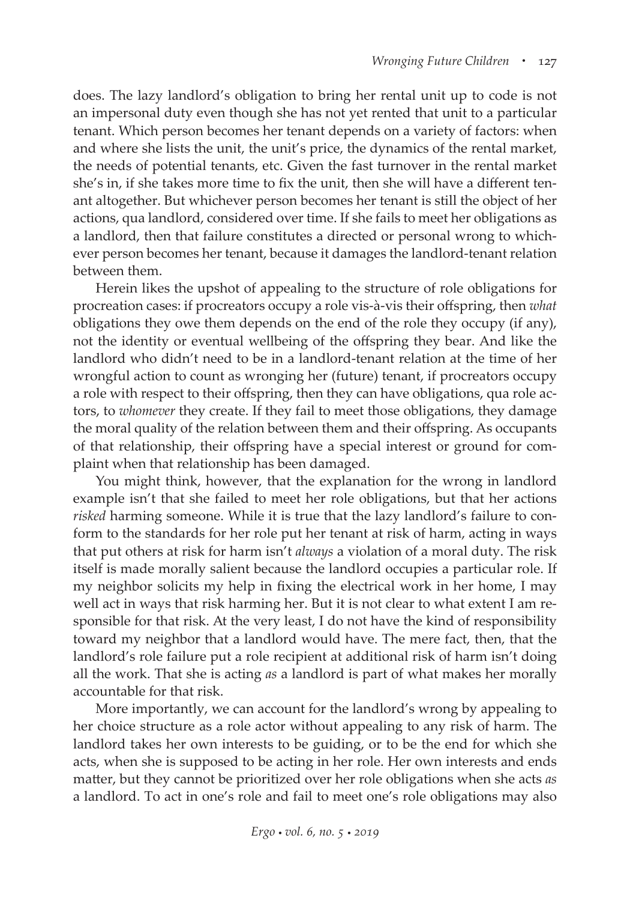does. The lazy landlord's obligation to bring her rental unit up to code is not an impersonal duty even though she has not yet rented that unit to a particular tenant. Which person becomes her tenant depends on a variety of factors: when and where she lists the unit, the unit's price, the dynamics of the rental market, the needs of potential tenants, etc. Given the fast turnover in the rental market she's in, if she takes more time to fix the unit, then she will have a different tenant altogether. But whichever person becomes her tenant is still the object of her actions, qua landlord, considered over time. If she fails to meet her obligations as a landlord, then that failure constitutes a directed or personal wrong to whichever person becomes her tenant, because it damages the landlord-tenant relation between them.

Herein likes the upshot of appealing to the structure of role obligations for procreation cases: if procreators occupy a role vis-à-vis their offspring, then *what* obligations they owe them depends on the end of the role they occupy (if any), not the identity or eventual wellbeing of the offspring they bear. And like the landlord who didn't need to be in a landlord-tenant relation at the time of her wrongful action to count as wronging her (future) tenant, if procreators occupy a role with respect to their offspring, then they can have obligations, qua role actors, to *whomever* they create. If they fail to meet those obligations, they damage the moral quality of the relation between them and their offspring. As occupants of that relationship, their offspring have a special interest or ground for complaint when that relationship has been damaged.

You might think, however, that the explanation for the wrong in landlord example isn't that she failed to meet her role obligations, but that her actions *risked* harming someone. While it is true that the lazy landlord's failure to conform to the standards for her role put her tenant at risk of harm, acting in ways that put others at risk for harm isn't *always* a violation of a moral duty. The risk itself is made morally salient because the landlord occupies a particular role. If my neighbor solicits my help in fixing the electrical work in her home, I may well act in ways that risk harming her. But it is not clear to what extent I am responsible for that risk. At the very least, I do not have the kind of responsibility toward my neighbor that a landlord would have. The mere fact, then, that the landlord's role failure put a role recipient at additional risk of harm isn't doing all the work. That she is acting *as* a landlord is part of what makes her morally accountable for that risk.

More importantly, we can account for the landlord's wrong by appealing to her choice structure as a role actor without appealing to any risk of harm. The landlord takes her own interests to be guiding, or to be the end for which she acts, when she is supposed to be acting in her role. Her own interests and ends matter, but they cannot be prioritized over her role obligations when she acts *as* a landlord. To act in one's role and fail to meet one's role obligations may also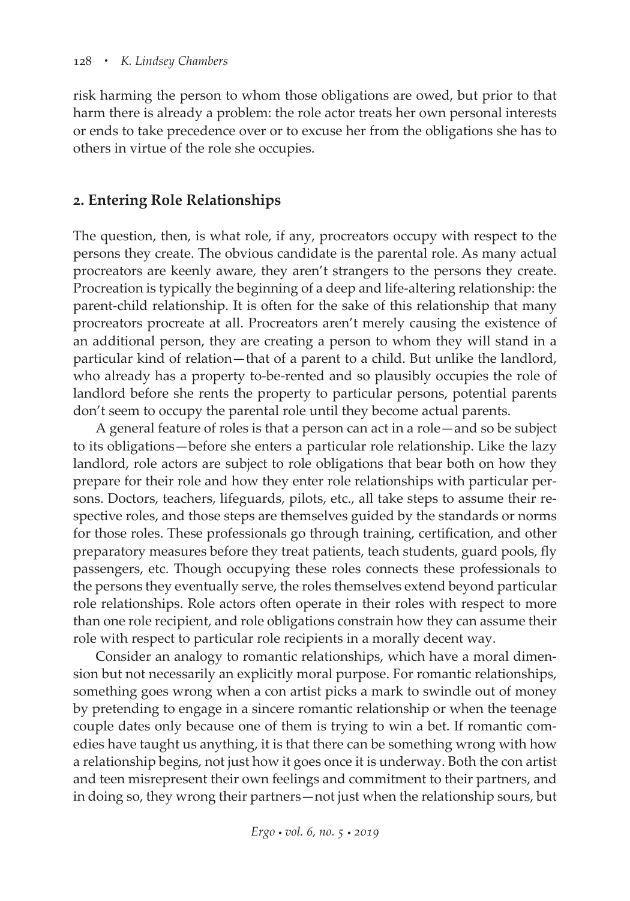risk harming the person to whom those obligations are owed, but prior to that harm there is already a problem: the role actor treats her own personal interests or ends to take precedence over or to excuse her from the obligations she has to others in virtue of the role she occupies.

### **2. Entering Role Relationships**

The question, then, is what role, if any, procreators occupy with respect to the persons they create. The obvious candidate is the parental role. As many actual procreators are keenly aware, they aren't strangers to the persons they create. Procreation is typically the beginning of a deep and life-altering relationship: the parent-child relationship. It is often for the sake of this relationship that many procreators procreate at all. Procreators aren't merely causing the existence of an additional person, they are creating a person to whom they will stand in a particular kind of relation—that of a parent to a child. But unlike the landlord, who already has a property to-be-rented and so plausibly occupies the role of landlord before she rents the property to particular persons, potential parents don't seem to occupy the parental role until they become actual parents.

A general feature of roles is that a person can act in a role—and so be subject to its obligations—before she enters a particular role relationship. Like the lazy landlord, role actors are subject to role obligations that bear both on how they prepare for their role and how they enter role relationships with particular persons. Doctors, teachers, lifeguards, pilots, etc., all take steps to assume their respective roles, and those steps are themselves guided by the standards or norms for those roles. These professionals go through training, certification, and other preparatory measures before they treat patients, teach students, guard pools, fly passengers, etc. Though occupying these roles connects these professionals to the persons they eventually serve, the roles themselves extend beyond particular role relationships. Role actors often operate in their roles with respect to more than one role recipient, and role obligations constrain how they can assume their role with respect to particular role recipients in a morally decent way.

Consider an analogy to romantic relationships, which have a moral dimension but not necessarily an explicitly moral purpose. For romantic relationships, something goes wrong when a con artist picks a mark to swindle out of money by pretending to engage in a sincere romantic relationship or when the teenage couple dates only because one of them is trying to win a bet. If romantic comedies have taught us anything, it is that there can be something wrong with how a relationship begins, not just how it goes once it is underway. Both the con artist and teen misrepresent their own feelings and commitment to their partners, and in doing so, they wrong their partners—not just when the relationship sours, but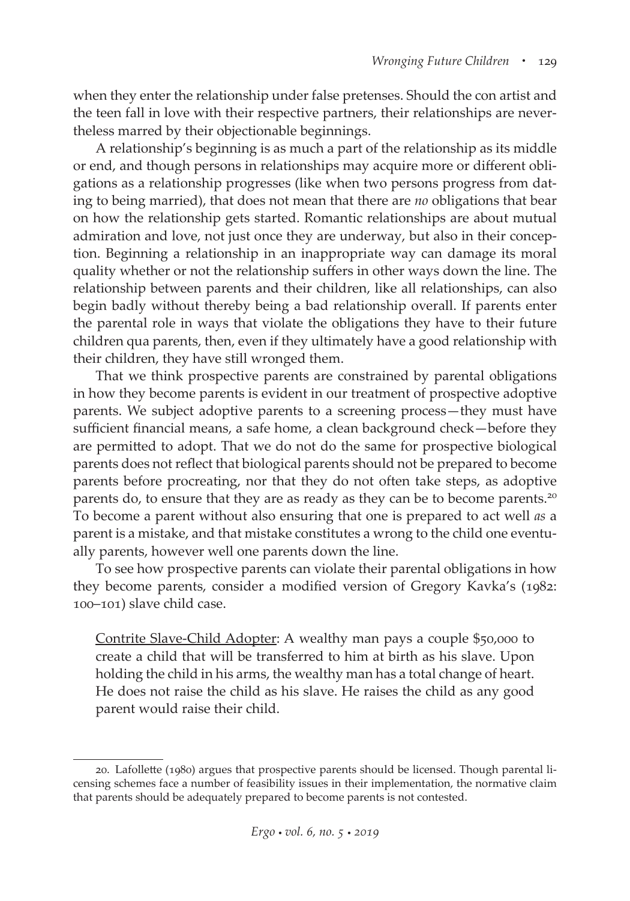when they enter the relationship under false pretenses. Should the con artist and the teen fall in love with their respective partners, their relationships are nevertheless marred by their objectionable beginnings.

A relationship's beginning is as much a part of the relationship as its middle or end, and though persons in relationships may acquire more or different obligations as a relationship progresses (like when two persons progress from dating to being married), that does not mean that there are *no* obligations that bear on how the relationship gets started. Romantic relationships are about mutual admiration and love, not just once they are underway, but also in their conception. Beginning a relationship in an inappropriate way can damage its moral quality whether or not the relationship suffers in other ways down the line. The relationship between parents and their children, like all relationships, can also begin badly without thereby being a bad relationship overall. If parents enter the parental role in ways that violate the obligations they have to their future children qua parents, then, even if they ultimately have a good relationship with their children, they have still wronged them.

That we think prospective parents are constrained by parental obligations in how they become parents is evident in our treatment of prospective adoptive parents. We subject adoptive parents to a screening process—they must have sufficient financial means, a safe home, a clean background check—before they are permitted to adopt. That we do not do the same for prospective biological parents does not reflect that biological parents should not be prepared to become parents before procreating, nor that they do not often take steps, as adoptive parents do, to ensure that they are as ready as they can be to become parents.<sup>20</sup> To become a parent without also ensuring that one is prepared to act well *as* a parent is a mistake, and that mistake constitutes a wrong to the child one eventually parents, however well one parents down the line.

To see how prospective parents can violate their parental obligations in how they become parents, consider a modified version of Gregory Kavka's (1982: 100–101) slave child case.

Contrite Slave-Child Adopter: A wealthy man pays a couple \$50,000 to create a child that will be transferred to him at birth as his slave. Upon holding the child in his arms, the wealthy man has a total change of heart. He does not raise the child as his slave. He raises the child as any good parent would raise their child.

<sup>20.</sup> Lafollette (1980) argues that prospective parents should be licensed. Though parental licensing schemes face a number of feasibility issues in their implementation, the normative claim that parents should be adequately prepared to become parents is not contested.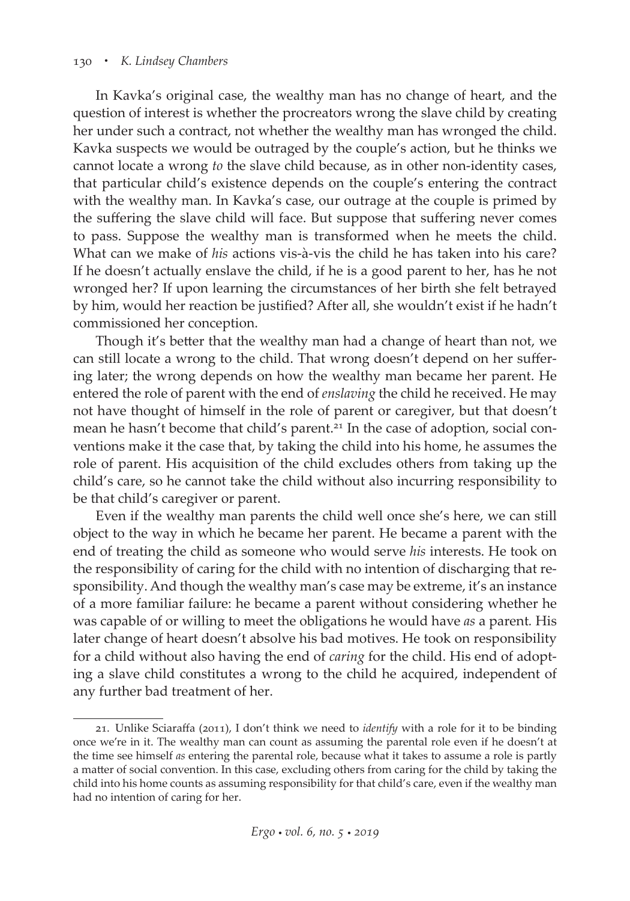#### 130 *• K. Lindsey Chambers*

In Kavka's original case, the wealthy man has no change of heart, and the question of interest is whether the procreators wrong the slave child by creating her under such a contract, not whether the wealthy man has wronged the child. Kavka suspects we would be outraged by the couple's action, but he thinks we cannot locate a wrong *to* the slave child because, as in other non-identity cases, that particular child's existence depends on the couple's entering the contract with the wealthy man. In Kavka's case, our outrage at the couple is primed by the suffering the slave child will face. But suppose that suffering never comes to pass. Suppose the wealthy man is transformed when he meets the child. What can we make of *his* actions vis-à-vis the child he has taken into his care? If he doesn't actually enslave the child, if he is a good parent to her, has he not wronged her? If upon learning the circumstances of her birth she felt betrayed by him, would her reaction be justified? After all, she wouldn't exist if he hadn't commissioned her conception.

Though it's better that the wealthy man had a change of heart than not, we can still locate a wrong to the child. That wrong doesn't depend on her suffering later; the wrong depends on how the wealthy man became her parent. He entered the role of parent with the end of *enslaving* the child he received. He may not have thought of himself in the role of parent or caregiver, but that doesn't mean he hasn't become that child's parent.<sup>21</sup> In the case of adoption, social conventions make it the case that, by taking the child into his home, he assumes the role of parent. His acquisition of the child excludes others from taking up the child's care, so he cannot take the child without also incurring responsibility to be that child's caregiver or parent.

Even if the wealthy man parents the child well once she's here, we can still object to the way in which he became her parent. He became a parent with the end of treating the child as someone who would serve *his* interests. He took on the responsibility of caring for the child with no intention of discharging that responsibility. And though the wealthy man's case may be extreme, it's an instance of a more familiar failure: he became a parent without considering whether he was capable of or willing to meet the obligations he would have *as* a parent*.* His later change of heart doesn't absolve his bad motives. He took on responsibility for a child without also having the end of *caring* for the child. His end of adopting a slave child constitutes a wrong to the child he acquired, independent of any further bad treatment of her.

<sup>21.</sup> Unlike Sciaraffa (2011), I don't think we need to *identify* with a role for it to be binding once we're in it. The wealthy man can count as assuming the parental role even if he doesn't at the time see himself *as* entering the parental role, because what it takes to assume a role is partly a matter of social convention. In this case, excluding others from caring for the child by taking the child into his home counts as assuming responsibility for that child's care, even if the wealthy man had no intention of caring for her.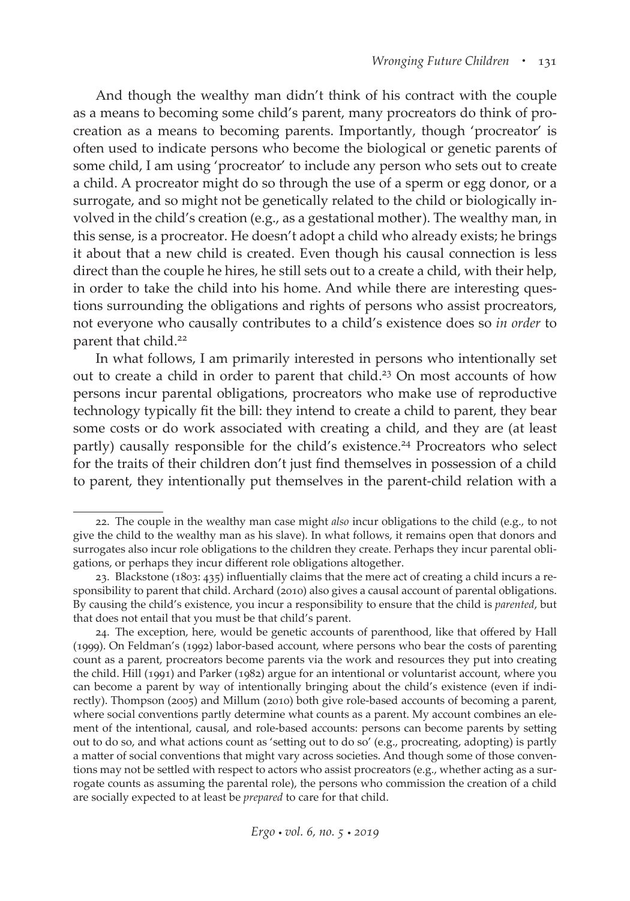And though the wealthy man didn't think of his contract with the couple as a means to becoming some child's parent, many procreators do think of procreation as a means to becoming parents. Importantly, though 'procreator' is often used to indicate persons who become the biological or genetic parents of some child, I am using 'procreator' to include any person who sets out to create a child. A procreator might do so through the use of a sperm or egg donor, or a surrogate, and so might not be genetically related to the child or biologically involved in the child's creation (e.g., as a gestational mother). The wealthy man, in this sense, is a procreator. He doesn't adopt a child who already exists; he brings it about that a new child is created. Even though his causal connection is less direct than the couple he hires, he still sets out to a create a child, with their help, in order to take the child into his home. And while there are interesting questions surrounding the obligations and rights of persons who assist procreators, not everyone who causally contributes to a child's existence does so *in order* to parent that child.<sup>22</sup>

In what follows, I am primarily interested in persons who intentionally set out to create a child in order to parent that child.<sup>23</sup> On most accounts of how persons incur parental obligations, procreators who make use of reproductive technology typically fit the bill: they intend to create a child to parent, they bear some costs or do work associated with creating a child, and they are (at least partly) causally responsible for the child's existence.<sup>24</sup> Procreators who select for the traits of their children don't just find themselves in possession of a child to parent, they intentionally put themselves in the parent-child relation with a

<sup>22.</sup> The couple in the wealthy man case might *also* incur obligations to the child (e.g., to not give the child to the wealthy man as his slave). In what follows, it remains open that donors and surrogates also incur role obligations to the children they create. Perhaps they incur parental obligations, or perhaps they incur different role obligations altogether.

<sup>23.</sup> Blackstone (1803: 435) influentially claims that the mere act of creating a child incurs a responsibility to parent that child. Archard (2010) also gives a causal account of parental obligations. By causing the child's existence, you incur a responsibility to ensure that the child is *parented*, but that does not entail that you must be that child's parent.

<sup>24.</sup> The exception, here, would be genetic accounts of parenthood, like that offered by Hall (1999). On Feldman's (1992) labor-based account, where persons who bear the costs of parenting count as a parent, procreators become parents via the work and resources they put into creating the child. Hill (1991) and Parker (1982) argue for an intentional or voluntarist account, where you can become a parent by way of intentionally bringing about the child's existence (even if indirectly). Thompson (2005) and Millum (2010) both give role-based accounts of becoming a parent, where social conventions partly determine what counts as a parent. My account combines an element of the intentional, causal, and role-based accounts: persons can become parents by setting out to do so, and what actions count as 'setting out to do so' (e.g., procreating, adopting) is partly a matter of social conventions that might vary across societies. And though some of those conventions may not be settled with respect to actors who assist procreators (e.g., whether acting as a surrogate counts as assuming the parental role), the persons who commission the creation of a child are socially expected to at least be *prepared* to care for that child.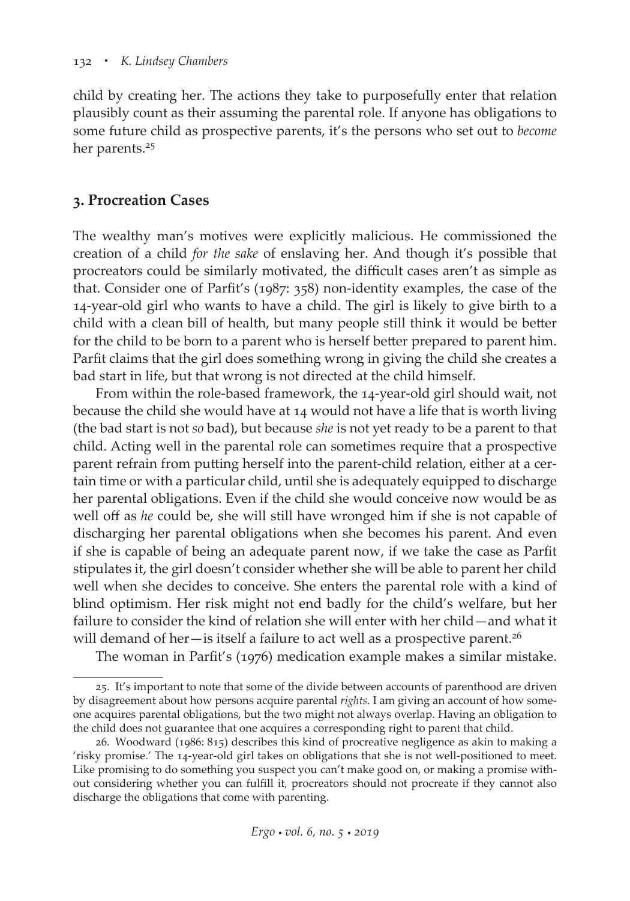child by creating her. The actions they take to purposefully enter that relation plausibly count as their assuming the parental role. If anyone has obligations to some future child as prospective parents, it's the persons who set out to *become* her parents.<sup>25</sup>

#### **3. Procreation Cases**

The wealthy man's motives were explicitly malicious. He commissioned the creation of a child *for the sake* of enslaving her. And though it's possible that procreators could be similarly motivated, the difficult cases aren't as simple as that. Consider one of Parfit's (1987: 358) non-identity examples, the case of the 14-year-old girl who wants to have a child. The girl is likely to give birth to a child with a clean bill of health, but many people still think it would be better for the child to be born to a parent who is herself better prepared to parent him. Parfit claims that the girl does something wrong in giving the child she creates a bad start in life, but that wrong is not directed at the child himself.

From within the role-based framework, the 14-year-old girl should wait, not because the child she would have at 14 would not have a life that is worth living (the bad start is not *so* bad), but because *she* is not yet ready to be a parent to that child. Acting well in the parental role can sometimes require that a prospective parent refrain from putting herself into the parent-child relation, either at a certain time or with a particular child, until she is adequately equipped to discharge her parental obligations. Even if the child she would conceive now would be as well off as *he* could be, she will still have wronged him if she is not capable of discharging her parental obligations when she becomes his parent. And even if she is capable of being an adequate parent now, if we take the case as Parfit stipulates it, the girl doesn't consider whether she will be able to parent her child well when she decides to conceive. She enters the parental role with a kind of blind optimism. Her risk might not end badly for the child's welfare, but her failure to consider the kind of relation she will enter with her child—and what it will demand of her—is itself a failure to act well as a prospective parent.<sup>26</sup>

The woman in Parfit's (1976) medication example makes a similar mistake.

<sup>25.</sup> It's important to note that some of the divide between accounts of parenthood are driven by disagreement about how persons acquire parental *rights*. I am giving an account of how someone acquires parental obligations, but the two might not always overlap. Having an obligation to the child does not guarantee that one acquires a corresponding right to parent that child.

<sup>26.</sup> Woodward (1986: 815) describes this kind of procreative negligence as akin to making a 'risky promise.' The 14-year-old girl takes on obligations that she is not well-positioned to meet. Like promising to do something you suspect you can't make good on, or making a promise without considering whether you can fulfill it, procreators should not procreate if they cannot also discharge the obligations that come with parenting.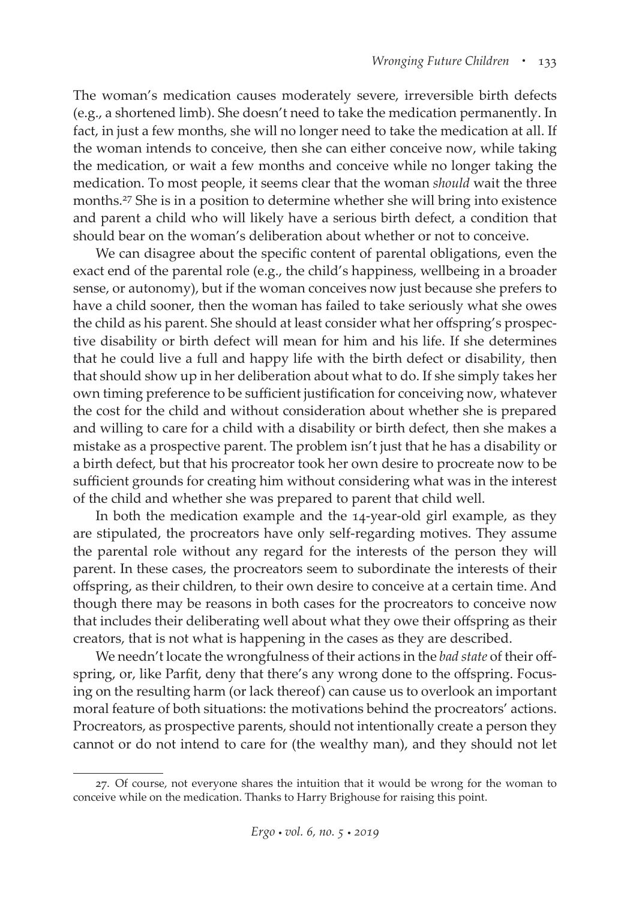The woman's medication causes moderately severe, irreversible birth defects (e.g., a shortened limb). She doesn't need to take the medication permanently. In fact, in just a few months, she will no longer need to take the medication at all. If the woman intends to conceive, then she can either conceive now, while taking the medication, or wait a few months and conceive while no longer taking the medication. To most people, it seems clear that the woman *should* wait the three months.27 She is in a position to determine whether she will bring into existence and parent a child who will likely have a serious birth defect, a condition that should bear on the woman's deliberation about whether or not to conceive.

We can disagree about the specific content of parental obligations, even the exact end of the parental role (e.g., the child's happiness, wellbeing in a broader sense, or autonomy), but if the woman conceives now just because she prefers to have a child sooner, then the woman has failed to take seriously what she owes the child as his parent. She should at least consider what her offspring's prospective disability or birth defect will mean for him and his life. If she determines that he could live a full and happy life with the birth defect or disability, then that should show up in her deliberation about what to do. If she simply takes her own timing preference to be sufficient justification for conceiving now, whatever the cost for the child and without consideration about whether she is prepared and willing to care for a child with a disability or birth defect, then she makes a mistake as a prospective parent. The problem isn't just that he has a disability or a birth defect, but that his procreator took her own desire to procreate now to be sufficient grounds for creating him without considering what was in the interest of the child and whether she was prepared to parent that child well.

In both the medication example and the 14-year-old girl example, as they are stipulated, the procreators have only self-regarding motives. They assume the parental role without any regard for the interests of the person they will parent. In these cases, the procreators seem to subordinate the interests of their offspring, as their children, to their own desire to conceive at a certain time. And though there may be reasons in both cases for the procreators to conceive now that includes their deliberating well about what they owe their offspring as their creators, that is not what is happening in the cases as they are described.

We needn't locate the wrongfulness of their actions in the *bad state* of their offspring, or, like Parfit, deny that there's any wrong done to the offspring. Focusing on the resulting harm (or lack thereof) can cause us to overlook an important moral feature of both situations: the motivations behind the procreators' actions. Procreators, as prospective parents, should not intentionally create a person they cannot or do not intend to care for (the wealthy man), and they should not let

<sup>27.</sup> Of course, not everyone shares the intuition that it would be wrong for the woman to conceive while on the medication. Thanks to Harry Brighouse for raising this point.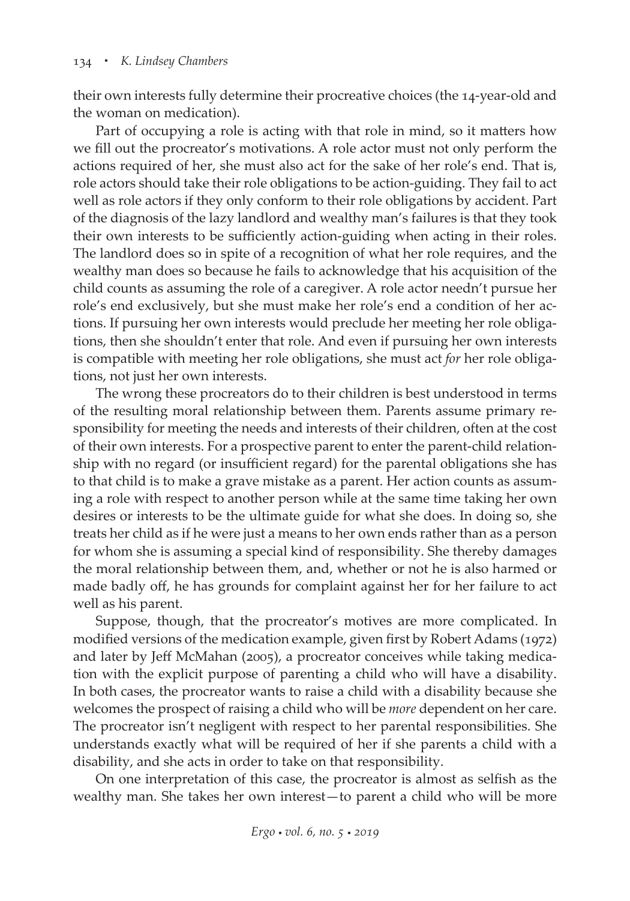their own interests fully determine their procreative choices (the 14-year-old and the woman on medication).

Part of occupying a role is acting with that role in mind, so it matters how we fill out the procreator's motivations. A role actor must not only perform the actions required of her, she must also act for the sake of her role's end. That is, role actors should take their role obligations to be action-guiding. They fail to act well as role actors if they only conform to their role obligations by accident. Part of the diagnosis of the lazy landlord and wealthy man's failures is that they took their own interests to be sufficiently action-guiding when acting in their roles. The landlord does so in spite of a recognition of what her role requires, and the wealthy man does so because he fails to acknowledge that his acquisition of the child counts as assuming the role of a caregiver. A role actor needn't pursue her role's end exclusively, but she must make her role's end a condition of her actions. If pursuing her own interests would preclude her meeting her role obligations, then she shouldn't enter that role. And even if pursuing her own interests is compatible with meeting her role obligations, she must act *for* her role obligations, not just her own interests.

The wrong these procreators do to their children is best understood in terms of the resulting moral relationship between them. Parents assume primary responsibility for meeting the needs and interests of their children, often at the cost of their own interests. For a prospective parent to enter the parent-child relationship with no regard (or insufficient regard) for the parental obligations she has to that child is to make a grave mistake as a parent. Her action counts as assuming a role with respect to another person while at the same time taking her own desires or interests to be the ultimate guide for what she does. In doing so, she treats her child as if he were just a means to her own ends rather than as a person for whom she is assuming a special kind of responsibility. She thereby damages the moral relationship between them, and, whether or not he is also harmed or made badly off, he has grounds for complaint against her for her failure to act well as his parent.

Suppose, though, that the procreator's motives are more complicated. In modified versions of the medication example, given first by Robert Adams (1972) and later by Jeff McMahan (2005), a procreator conceives while taking medication with the explicit purpose of parenting a child who will have a disability. In both cases, the procreator wants to raise a child with a disability because she welcomes the prospect of raising a child who will be *more* dependent on her care. The procreator isn't negligent with respect to her parental responsibilities. She understands exactly what will be required of her if she parents a child with a disability, and she acts in order to take on that responsibility.

On one interpretation of this case, the procreator is almost as selfish as the wealthy man. She takes her own interest—to parent a child who will be more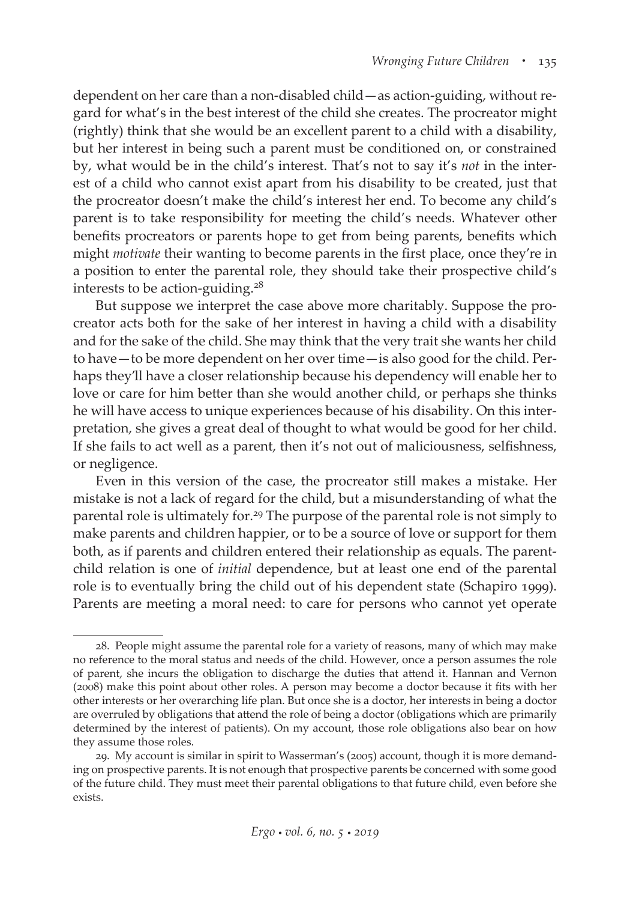dependent on her care than a non-disabled child—as action-guiding, without regard for what's in the best interest of the child she creates. The procreator might (rightly) think that she would be an excellent parent to a child with a disability, but her interest in being such a parent must be conditioned on, or constrained by, what would be in the child's interest. That's not to say it's *not* in the interest of a child who cannot exist apart from his disability to be created, just that the procreator doesn't make the child's interest her end. To become any child's parent is to take responsibility for meeting the child's needs. Whatever other benefits procreators or parents hope to get from being parents, benefits which might *motivate* their wanting to become parents in the first place, once they're in a position to enter the parental role, they should take their prospective child's interests to be action-guiding.<sup>28</sup>

But suppose we interpret the case above more charitably. Suppose the procreator acts both for the sake of her interest in having a child with a disability and for the sake of the child. She may think that the very trait she wants her child to have—to be more dependent on her over time—is also good for the child. Perhaps they'll have a closer relationship because his dependency will enable her to love or care for him better than she would another child, or perhaps she thinks he will have access to unique experiences because of his disability. On this interpretation, she gives a great deal of thought to what would be good for her child. If she fails to act well as a parent, then it's not out of maliciousness, selfishness, or negligence.

Even in this version of the case, the procreator still makes a mistake. Her mistake is not a lack of regard for the child, but a misunderstanding of what the parental role is ultimately for.29 The purpose of the parental role is not simply to make parents and children happier, or to be a source of love or support for them both, as if parents and children entered their relationship as equals. The parentchild relation is one of *initial* dependence, but at least one end of the parental role is to eventually bring the child out of his dependent state (Schapiro 1999). Parents are meeting a moral need: to care for persons who cannot yet operate

<sup>28.</sup> People might assume the parental role for a variety of reasons, many of which may make no reference to the moral status and needs of the child. However, once a person assumes the role of parent, she incurs the obligation to discharge the duties that attend it. Hannan and Vernon (2008) make this point about other roles. A person may become a doctor because it fits with her other interests or her overarching life plan. But once she is a doctor, her interests in being a doctor are overruled by obligations that attend the role of being a doctor (obligations which are primarily determined by the interest of patients). On my account, those role obligations also bear on how they assume those roles.

<sup>29.</sup> My account is similar in spirit to Wasserman's (2005) account, though it is more demanding on prospective parents. It is not enough that prospective parents be concerned with some good of the future child. They must meet their parental obligations to that future child, even before she exists.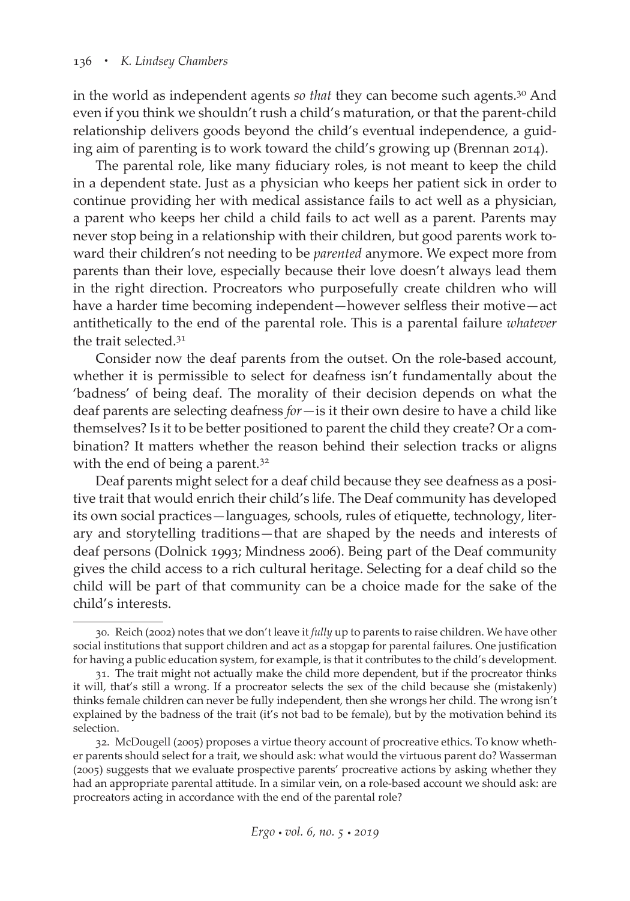in the world as independent agents *so that* they can become such agents.30 And even if you think we shouldn't rush a child's maturation, or that the parent-child relationship delivers goods beyond the child's eventual independence, a guiding aim of parenting is to work toward the child's growing up (Brennan 2014).

The parental role, like many fiduciary roles, is not meant to keep the child in a dependent state. Just as a physician who keeps her patient sick in order to continue providing her with medical assistance fails to act well as a physician, a parent who keeps her child a child fails to act well as a parent. Parents may never stop being in a relationship with their children, but good parents work toward their children's not needing to be *parented* anymore. We expect more from parents than their love, especially because their love doesn't always lead them in the right direction. Procreators who purposefully create children who will have a harder time becoming independent—however selfless their motive—act antithetically to the end of the parental role. This is a parental failure *whatever* the trait selected.<sup>31</sup>

Consider now the deaf parents from the outset. On the role-based account, whether it is permissible to select for deafness isn't fundamentally about the 'badness' of being deaf. The morality of their decision depends on what the deaf parents are selecting deafness *for—*is it their own desire to have a child like themselves? Is it to be better positioned to parent the child they create? Or a combination? It matters whether the reason behind their selection tracks or aligns with the end of being a parent.<sup>32</sup>

Deaf parents might select for a deaf child because they see deafness as a positive trait that would enrich their child's life. The Deaf community has developed its own social practices—languages, schools, rules of etiquette, technology, literary and storytelling traditions—that are shaped by the needs and interests of deaf persons (Dolnick 1993; Mindness 2006). Being part of the Deaf community gives the child access to a rich cultural heritage. Selecting for a deaf child so the child will be part of that community can be a choice made for the sake of the child's interests.

<sup>30.</sup> Reich (2002) notes that we don't leave it *fully* up to parents to raise children. We have other social institutions that support children and act as a stopgap for parental failures. One justification for having a public education system, for example, is that it contributes to the child's development.

<sup>31.</sup> The trait might not actually make the child more dependent, but if the procreator thinks it will, that's still a wrong. If a procreator selects the sex of the child because she (mistakenly) thinks female children can never be fully independent, then she wrongs her child. The wrong isn't explained by the badness of the trait (it's not bad to be female), but by the motivation behind its selection.

<sup>32.</sup> McDougell (2005) proposes a virtue theory account of procreative ethics. To know whether parents should select for a trait, we should ask: what would the virtuous parent do? Wasserman (2005) suggests that we evaluate prospective parents' procreative actions by asking whether they had an appropriate parental attitude. In a similar vein, on a role-based account we should ask: are procreators acting in accordance with the end of the parental role?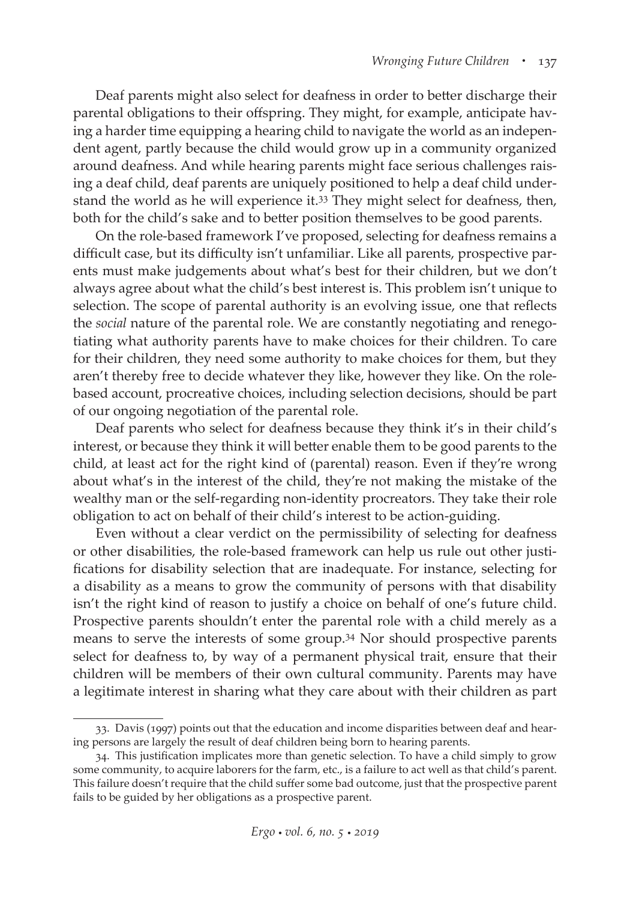Deaf parents might also select for deafness in order to better discharge their parental obligations to their offspring. They might, for example, anticipate having a harder time equipping a hearing child to navigate the world as an independent agent, partly because the child would grow up in a community organized around deafness. And while hearing parents might face serious challenges raising a deaf child, deaf parents are uniquely positioned to help a deaf child understand the world as he will experience it.33 They might select for deafness, then, both for the child's sake and to better position themselves to be good parents.

On the role-based framework I've proposed, selecting for deafness remains a difficult case, but its difficulty isn't unfamiliar. Like all parents, prospective parents must make judgements about what's best for their children, but we don't always agree about what the child's best interest is. This problem isn't unique to selection. The scope of parental authority is an evolving issue, one that reflects the *social* nature of the parental role. We are constantly negotiating and renegotiating what authority parents have to make choices for their children. To care for their children, they need some authority to make choices for them, but they aren't thereby free to decide whatever they like, however they like. On the rolebased account, procreative choices, including selection decisions, should be part of our ongoing negotiation of the parental role.

Deaf parents who select for deafness because they think it's in their child's interest, or because they think it will better enable them to be good parents to the child, at least act for the right kind of (parental) reason. Even if they're wrong about what's in the interest of the child, they're not making the mistake of the wealthy man or the self-regarding non-identity procreators. They take their role obligation to act on behalf of their child's interest to be action-guiding.

Even without a clear verdict on the permissibility of selecting for deafness or other disabilities, the role-based framework can help us rule out other justifications for disability selection that are inadequate. For instance, selecting for a disability as a means to grow the community of persons with that disability isn't the right kind of reason to justify a choice on behalf of one's future child. Prospective parents shouldn't enter the parental role with a child merely as a means to serve the interests of some group.34 Nor should prospective parents select for deafness to, by way of a permanent physical trait, ensure that their children will be members of their own cultural community. Parents may have a legitimate interest in sharing what they care about with their children as part

<sup>33.</sup> Davis (1997) points out that the education and income disparities between deaf and hearing persons are largely the result of deaf children being born to hearing parents.

<sup>34.</sup> This justification implicates more than genetic selection. To have a child simply to grow some community, to acquire laborers for the farm, etc., is a failure to act well as that child's parent. This failure doesn't require that the child suffer some bad outcome, just that the prospective parent fails to be guided by her obligations as a prospective parent.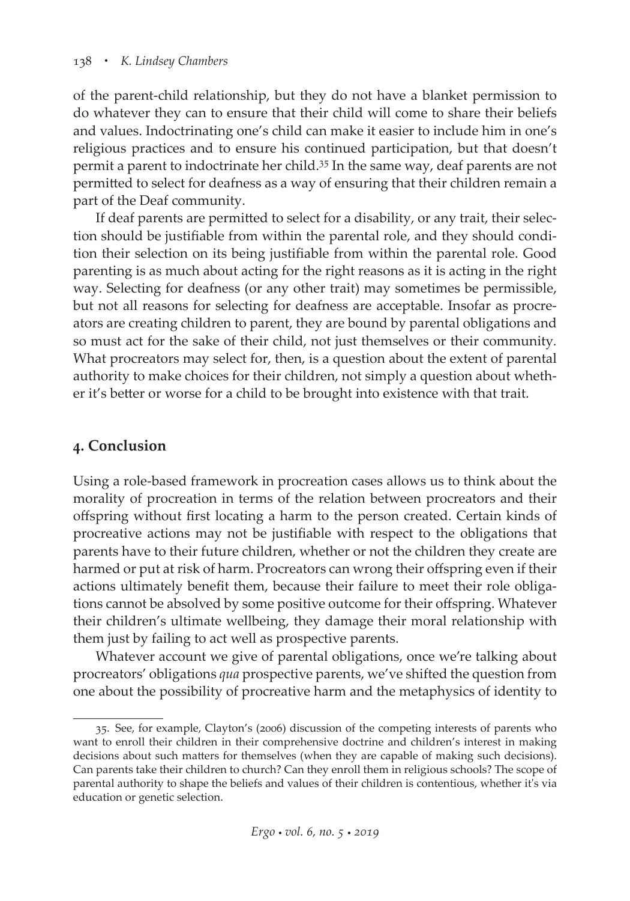of the parent-child relationship, but they do not have a blanket permission to do whatever they can to ensure that their child will come to share their beliefs and values. Indoctrinating one's child can make it easier to include him in one's religious practices and to ensure his continued participation, but that doesn't permit a parent to indoctrinate her child.<sup>35</sup> In the same way, deaf parents are not permitted to select for deafness as a way of ensuring that their children remain a part of the Deaf community.

If deaf parents are permitted to select for a disability, or any trait, their selection should be justifiable from within the parental role, and they should condition their selection on its being justifiable from within the parental role. Good parenting is as much about acting for the right reasons as it is acting in the right way. Selecting for deafness (or any other trait) may sometimes be permissible, but not all reasons for selecting for deafness are acceptable. Insofar as procreators are creating children to parent, they are bound by parental obligations and so must act for the sake of their child, not just themselves or their community*.* What procreators may select for, then, is a question about the extent of parental authority to make choices for their children, not simply a question about whether it's better or worse for a child to be brought into existence with that trait.

# **4. Conclusion**

Using a role-based framework in procreation cases allows us to think about the morality of procreation in terms of the relation between procreators and their offspring without first locating a harm to the person created. Certain kinds of procreative actions may not be justifiable with respect to the obligations that parents have to their future children, whether or not the children they create are harmed or put at risk of harm. Procreators can wrong their offspring even if their actions ultimately benefit them, because their failure to meet their role obligations cannot be absolved by some positive outcome for their offspring. Whatever their children's ultimate wellbeing, they damage their moral relationship with them just by failing to act well as prospective parents.

Whatever account we give of parental obligations, once we're talking about procreators' obligations *qua* prospective parents, we've shifted the question from one about the possibility of procreative harm and the metaphysics of identity to

<sup>35.</sup> See, for example, Clayton's (2006) discussion of the competing interests of parents who want to enroll their children in their comprehensive doctrine and children's interest in making decisions about such matters for themselves (when they are capable of making such decisions). Can parents take their children to church? Can they enroll them in religious schools? The scope of parental authority to shape the beliefs and values of their children is contentious, whether it's via education or genetic selection.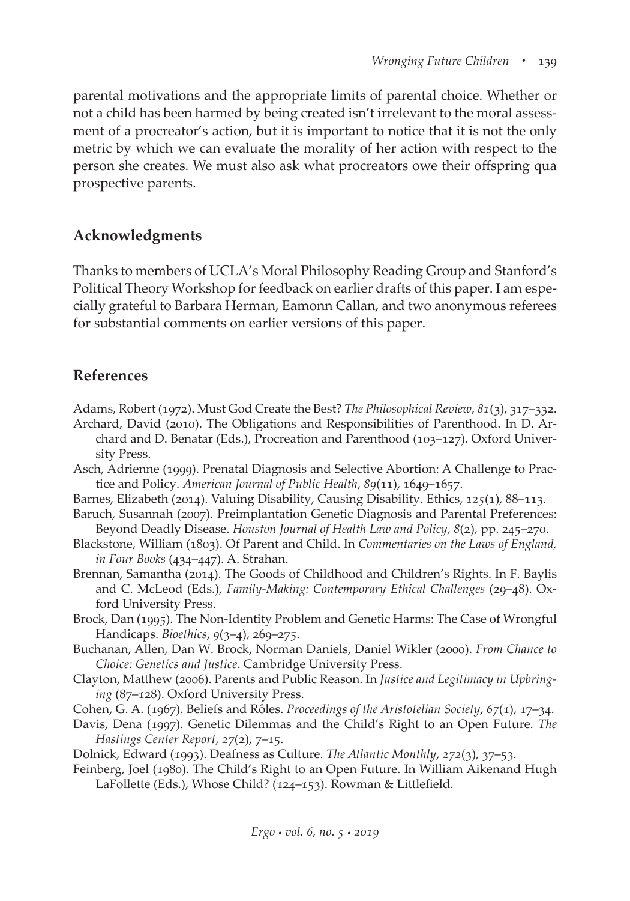parental motivations and the appropriate limits of parental choice. Whether or not a child has been harmed by being created isn't irrelevant to the moral assessment of a procreator's action, but it is important to notice that it is not the only metric by which we can evaluate the morality of her action with respect to the person she creates. We must also ask what procreators owe their offspring qua prospective parents.

## **Acknowledgments**

Thanks to members of UCLA's Moral Philosophy Reading Group and Stanford's Political Theory Workshop for feedback on earlier drafts of this paper. I am especially grateful to Barbara Herman, Eamonn Callan, and two anonymous referees for substantial comments on earlier versions of this paper.

## **References**

- Adams, Robert (1972). Must God Create the Best? *The Philosophical Review*, *81*(3), 317–332.
- Archard, David (2010). The Obligations and Responsibilities of Parenthood. In D. Archard and D. Benatar (Eds.), Procreation and Parenthood (103–127). Oxford University Press.
- Asch, Adrienne (1999). Prenatal Diagnosis and Selective Abortion: A Challenge to Practice and Policy. *American Journal of Public Health*, *89*(11), 1649–1657.
- Barnes, Elizabeth (2014). Valuing Disability, Causing Disability. Ethics, *125*(1), 88–113.
- Baruch, Susannah (2007). Preimplantation Genetic Diagnosis and Parental Preferences: Beyond Deadly Disease. *Houston Journal of Health Law and Policy*, *8*(2), pp. 245–270.
- Blackstone, William (1803). Of Parent and Child. In *Commentaries on the Laws of England, in Four Books* (434–447). A. Strahan.
- Brennan, Samantha (2014). The Goods of Childhood and Children's Rights. In F. Baylis and C. McLeod (Eds.), *Family-Making: Contemporary Ethical Challenges* (29–48). Oxford University Press.
- Brock, Dan (1995). The Non-Identity Problem and Genetic Harms: The Case of Wrongful Handicaps. *Bioethics*, *9*(3–4), 269–275.
- Buchanan, Allen, Dan W. Brock, Norman Daniels, Daniel Wikler (2000). *From Chance to Choice: Genetics and Justice*. Cambridge University Press.
- Clayton, Matthew (2006). Parents and Public Reason. In *Justice and Legitimacy in Upbringing* (87–128). Oxford University Press.
- Cohen, G. A. (1967). Beliefs and Rôles. *Proceedings of the Aristotelian Society*, *67*(1), 17–34.
- Davis, Dena (1997). Genetic Dilemmas and the Child's Right to an Open Future. *The Hastings Center Report*, *27*(2), 7–15.
- Dolnick, Edward (1993). Deafness as Culture. *The Atlantic Monthly*, *272*(3), 37–53.
- Feinberg, Joel (1980). The Child's Right to an Open Future. In William Aikenand Hugh LaFollette (Eds.), Whose Child? (124–153). Rowman & Littlefield.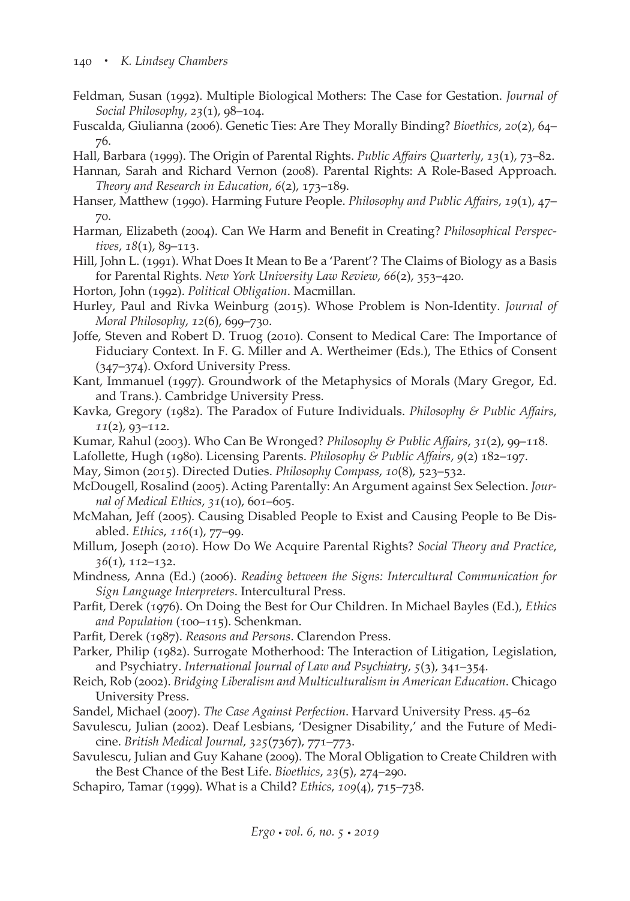- Feldman, Susan (1992). Multiple Biological Mothers: The Case for Gestation. *Journal of Social Philosophy*, *23*(1), 98–104.
- Fuscalda, Giulianna (2006). Genetic Ties: Are They Morally Binding? *Bioethics*, *20*(2), 64– 76.
- Hall, Barbara (1999). The Origin of Parental Rights. *Public Affairs Quarterly*, *13*(1), 73–82.
- Hannan, Sarah and Richard Vernon (2008). Parental Rights: A Role-Based Approach. *Theory and Research in Education*, *6*(2), 173–189.
- Hanser, Matthew (1990). Harming Future People. *Philosophy and Public Affairs*, *19*(1), 47– 70.
- Harman, Elizabeth (2004). Can We Harm and Benefit in Creating? *Philosophical Perspectives*, *18*(1), 89–113.
- Hill, John L. (1991). What Does It Mean to Be a 'Parent'? The Claims of Biology as a Basis for Parental Rights. *New York University Law Review*, *66*(2), 353–420.
- Horton, John (1992). *Political Obligation*. Macmillan.
- Hurley, Paul and Rivka Weinburg (2015). Whose Problem is Non-Identity. *Journal of Moral Philosophy*, *12*(6), 699–730.
- Joffe, Steven and Robert D. Truog (2010). Consent to Medical Care: The Importance of Fiduciary Context. In F. G. Miller and A. Wertheimer (Eds.), The Ethics of Consent (347–374). Oxford University Press.
- Kant, Immanuel (1997). Groundwork of the Metaphysics of Morals (Mary Gregor, Ed. and Trans.). Cambridge University Press.
- Kavka, Gregory (1982). The Paradox of Future Individuals. *Philosophy & Public Affairs*, *11*(2), 93–112.
- Kumar, Rahul (2003). Who Can Be Wronged? *Philosophy & Public Affairs*, *31*(2), 99–118.
- Lafollette, Hugh (1980). Licensing Parents. *Philosophy & Public Affairs*, *9*(2) 182–197.
- May, Simon (2015). Directed Duties. *Philosophy Compass*, *10*(8), 523–532.
- McDougell, Rosalind (2005). Acting Parentally: An Argument against Sex Selection. *Journal of Medical Ethics*, *31*(10), 601–605.
- McMahan, Jeff (2005). Causing Disabled People to Exist and Causing People to Be Disabled. *Ethics*, *116*(1), 77–99.
- Millum, Joseph (2010). How Do We Acquire Parental Rights? *Social Theory and Practice*, *36*(1), 112–132.
- Mindness, Anna (Ed.) (2006). *Reading between the Signs: Intercultural Communication for Sign Language Interpreters*. Intercultural Press.
- Parfit, Derek (1976). On Doing the Best for Our Children. In Michael Bayles (Ed.), *Ethics and Population* (100–115). Schenkman.
- Parfit, Derek (1987). *Reasons and Persons*. Clarendon Press.
- Parker, Philip (1982). Surrogate Motherhood: The Interaction of Litigation, Legislation, and Psychiatry. *International Journal of Law and Psychiatry*, *5*(3), 341–354.
- Reich, Rob (2002). *Bridging Liberalism and Multiculturalism in American Education*. Chicago University Press.
- Sandel, Michael (2007). *The Case Against Perfection*. Harvard University Press. 45–62
- Savulescu, Julian (2002). Deaf Lesbians, 'Designer Disability,' and the Future of Medicine. *British Medical Journal*, *325*(7367), 771–773.
- Savulescu, Julian and Guy Kahane (2009). The Moral Obligation to Create Children with the Best Chance of the Best Life. *Bioethics*, *23*(5), 274–290.
- Schapiro, Tamar (1999). What is a Child? *Ethics*, *109*(4), 715–738.